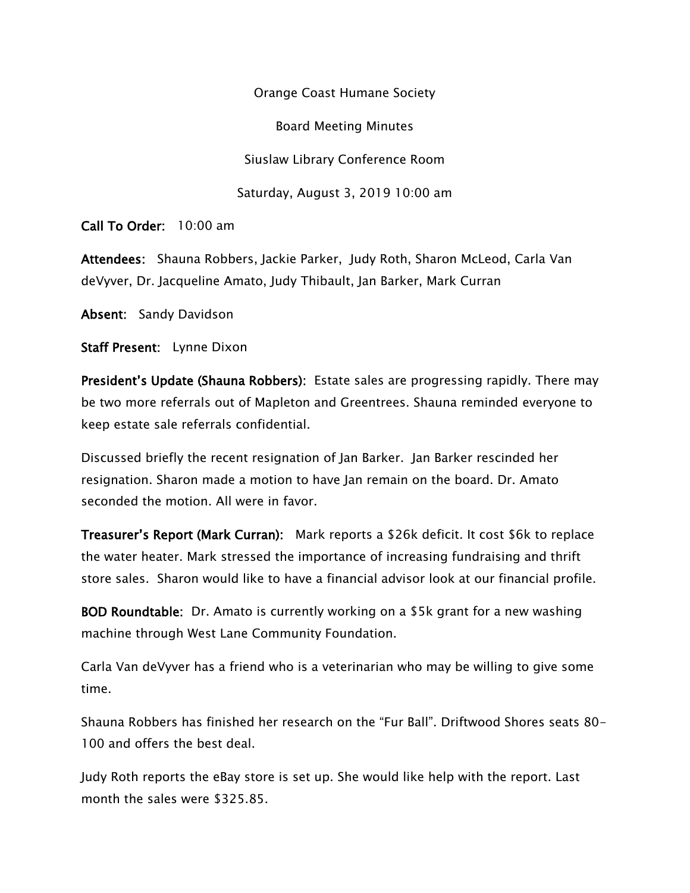Orange Coast Humane Society

Board Meeting Minutes

Siuslaw Library Conference Room

Saturday, August 3, 2019 10:00 am

Call To Order: 10:00 am

Attendees: Shauna Robbers, Jackie Parker, Judy Roth, Sharon McLeod, Carla Van deVyver, Dr. Jacqueline Amato, Judy Thibault, Jan Barker, Mark Curran

Absent: Sandy Davidson

Staff Present: Lynne Dixon

President's Update (Shauna Robbers): Estate sales are progressing rapidly. There may be two more referrals out of Mapleton and Greentrees. Shauna reminded everyone to keep estate sale referrals confidential.

Discussed briefly the recent resignation of Jan Barker. Jan Barker rescinded her resignation. Sharon made a motion to have Jan remain on the board. Dr. Amato seconded the motion. All were in favor.

Treasurer's Report (Mark Curran): Mark reports a \$26k deficit. It cost \$6k to replace the water heater. Mark stressed the importance of increasing fundraising and thrift store sales. Sharon would like to have a financial advisor look at our financial profile.

BOD Roundtable: Dr. Amato is currently working on a \$5k grant for a new washing machine through West Lane Community Foundation.

Carla Van deVyver has a friend who is a veterinarian who may be willing to give some time.

Shauna Robbers has finished her research on the "Fur Ball". Driftwood Shores seats 80- 100 and offers the best deal.

Judy Roth reports the eBay store is set up. She would like help with the report. Last month the sales were \$325.85.